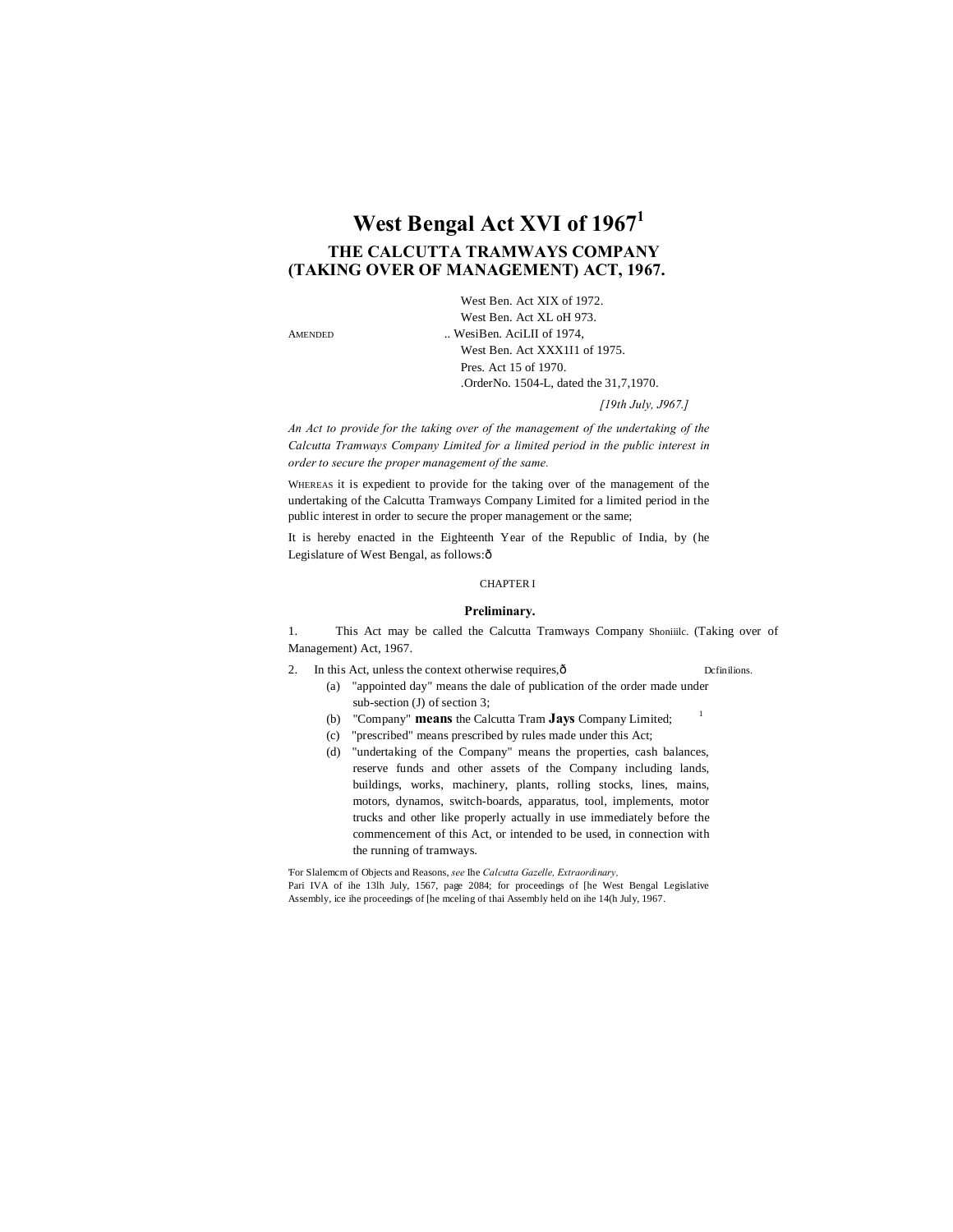# **West Bengal Act XVI of 1967<sup>1</sup> THE CALCUTTA TRAMWAYS COMPANY (TAKING OVER OF MANAGEMENT) ACT, 1967.**

West Ben. Act XIX of 1972. West Ben. Act XL oH 973. AMENDED ... WesiBen. AciLII of 1974, West Ben. Act XXX1I1 of 1975. Pres. Act 15 of 1970. .OrderNo. 1504-L, dated the 31,7,1970.

*[19th July, J967.]*

*An Act to provide for the taking over of the management of the undertaking of the Calcutta Tramways Company Limited for a limited period in the public interest in order to secure the proper management of the same.*

WHEREAS it is expedient to provide for the taking over of the management of the undertaking of the Calcutta Tramways Company Limited for a limited period in the public interest in order to secure the proper management or the same;

It is hereby enacted in the Eighteenth Year of the Republic of India, by (he Legislature of West Bengal, as follows: ô

# CHAPTER I

### **Preliminary.**

1. This Act may be called the Calcutta Tramways Company Shoniiilc. (Taking over of Management) Act, 1967.

2. In this Act, unless the context otherwise requires, $\hat{\rho}$  Dcfinilions.

- (a) "appointed day" means the dale of publication of the order made under sub-section (J) of section 3;
	- (b) "Company" **means** the Calcutta Tram **Jays** Company Limited; <sup>1</sup>
	- (c) "prescribed" means prescribed by rules made under this Act;
	- (d) "undertaking of the Company" means the properties, cash balances, reserve funds and other assets of the Company including lands, buildings, works, machinery, plants, rolling stocks, lines, mains, motors, dynamos, switch-boards, apparatus, tool, implements, motor trucks and other like properly actually in use immediately before the commencement of this Act, or intended to be used, in connection with the running of tramways.

'For Slalemcm of Objects and Reasons, *see* Ihe *Calcutta Gazelle, Extraordinary,* Pari IVA of ihe 13lh July, 1567, page 2084; for proceedings of [he West Bengal Legislative Assembly, ice ihe proceedings of [he mceling of thai Assembly held on ihe 14(h July, 1967.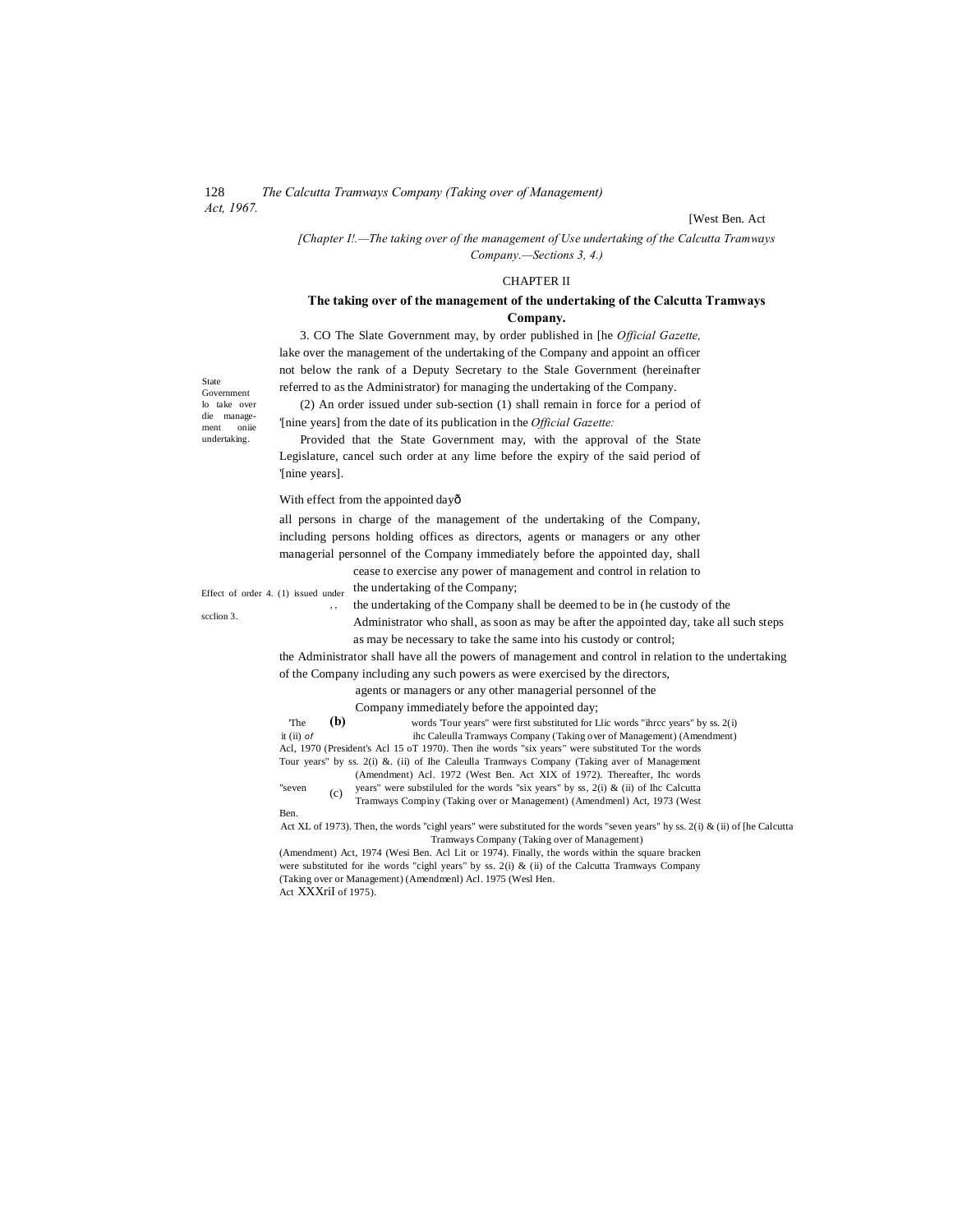[West Ben. Act

*[Chapter I!.—The taking over of the management of Use undertaking of the Calcutta Tramways Company.—Sections 3, 4.)*

### CHAPTER II

# **The taking over of the management of the undertaking of the Calcutta Tramways Company.**

3. CO The Slate Government may, by order published in [he *Official Gazette,* lake over the management of the undertaking of the Company and appoint an officer not below the rank of a Deputy Secretary to the Stale Government (hereinafter referred to as the Administrator) for managing the undertaking of the Company.

(2) An order issued under sub-section (1) shall remain in force for a period of '[nine years] from the date of its publication in the *Official Gazette:*

Provided that the State Government may, with the approval of the State Legislature, cancel such order at any lime before the expiry of the said period of '[nine years].

With effect from the appointed dayô

all persons in charge of the management of the undertaking of the Company, including persons holding offices as directors, agents or managers or any other managerial personnel of the Company immediately before the appointed day, shall

cease to exercise any power of management and control in relation to the undertaking of the Company;

Effect of order 4. (1) issued under , ,

Ben.

scclion 3.

the undertaking of the Company shall be deemed to be in (he custody of the Administrator who shall, as soon as may be after the appointed day, take all such steps as may be necessary to take the same into his custody or control;

the Administrator shall have all the powers of management and control in relation to the undertaking of the Company including any such powers as were exercised by the directors,

agents or managers or any other managerial personnel of the

Company immediately before the appointed day;

**(b)** The  $(b)$  words 'Tour years" were first substituted for Llic words "ihrcc years" by ss. 2(i) it (ii)  $of$  ihc Caleulla Tramways Company (Taking over of Management) (Amendment) Acl, 1970 (President's Acl 15 oT 1970). Then ihe words "six years" were substituted Tor the words Tour years" by ss. 2(i) &. (ii) of Ihe Caleulla Tramways Company (Taking aver of Management

(c) (Amendment) Acl. 1972 (West Ben. Act XIX of 1972). Thereafter, Ihc words "seven  $(c)$  years" were substiluled for the words "six years" by ss, 2(i) & (ii) of Ihc Calcutta

Tramways Compiny (Taking over or Management) (Amendmenl) Act, 1973 (West

Act XL of 1973). Then, the words "cighl years" were substituted for the words "seven years" hy ss. 2(i) & (ii) of [he Calcutta Tramways Company (Taking over of Management)

(Amendment) Act, 1974 (Wesi Ben. Acl Lit or 1974). Finally, the words within the square bracken were substituted for ihe words "cighl years" by ss. 2(i) & (ii) of the Calcutta Tramways Company (Taking over or Management) (Amendmenl) Acl. 1975 (Wesl Hen. Act XXXriI of 1975).

State Government lo take over die manageoniie undertaking.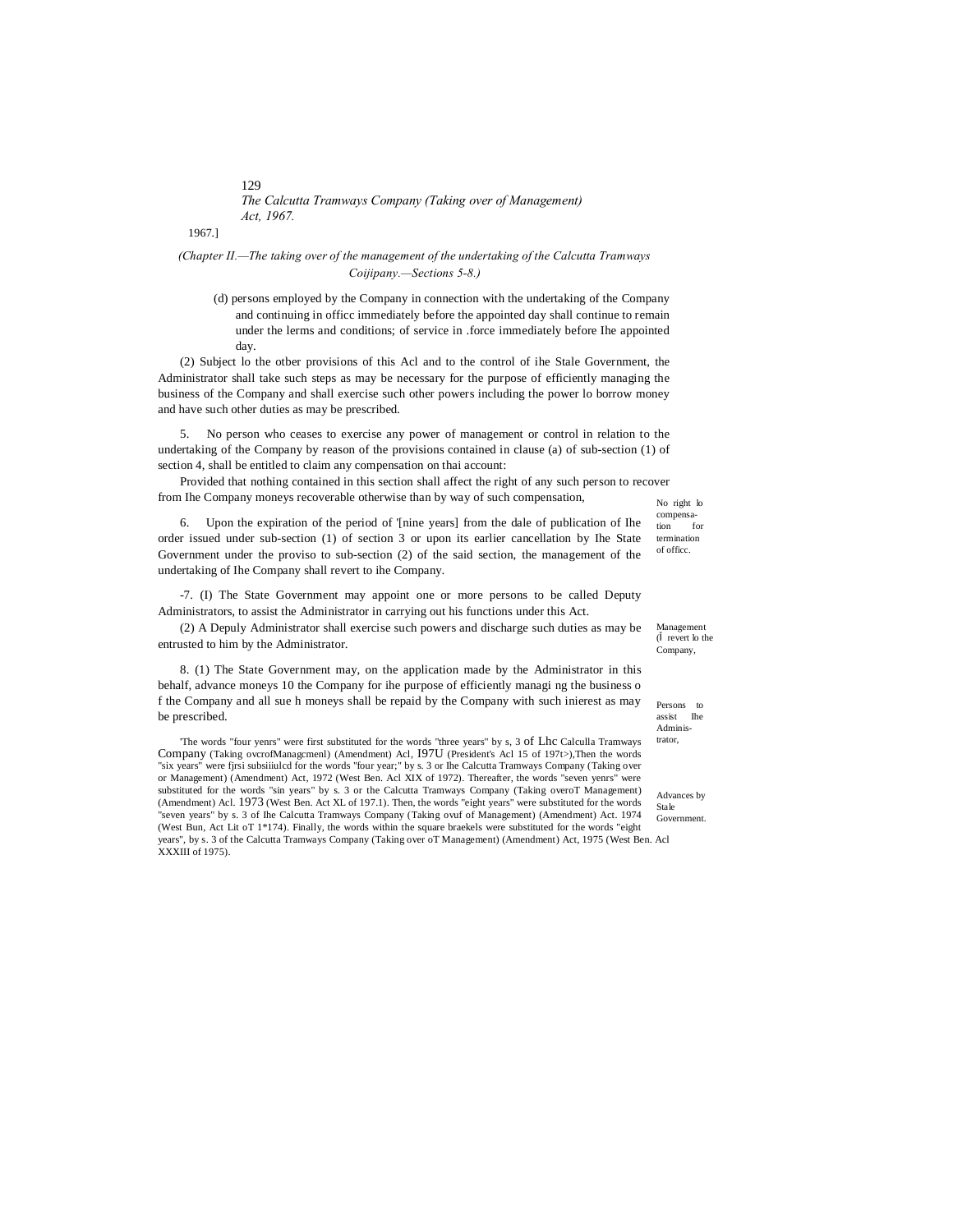1967.]

# *(Chapter II.—The taking over of the management of the undertaking of the Calcutta Tramways Coijipany.—Sections 5-8.)*

(d) persons employed by the Company in connection with the undertaking of the Company and continuing in officc immediately before the appointed day shall continue to remain under the lerms and conditions; of service in .force immediately before Ihe appointed day.

(2) Subject lo the otber provisions of this Acl and to the control of ihe Stale Government, the Administrator shall take such steps as may be necessary for the purpose of efficiently managing the business of the Company and shall exercise such other powers including the power lo borrow money and have such other duties as may be prescribed.

5. No person who ceases to exercise any power of management or control in relation to the undertaking of the Company by reason of the provisions contained in clause (a) of sub-section (1) of section 4, shall be entitled to claim any compensation on thai account:

No right lo Provided that nothing contained in this section shall affect the right of any such person to recover from Ihe Company moneys recoverable otherwise than by way of such compensation,

6. Upon the expiration of the period of '[nine years] from the dale of publication of Ihe order issued under sub-section (1) of section 3 or upon its earlier cancellation by Ihe State Government under the proviso to sub-section (2) of the said section, the management of the undertaking of Ihe Company shall revert to ihe Company.

-7. (I) The State Government may appoint one or more persons to be called Deputy Administrators, to assist the Administrator in carrying out his functions under this Act.

(2) A Depuly Administrator shall exercise such powers and discharge such duties as may be entrusted to him by the Administrator.

8. (1) The State Government may, on the application made by the Administrator in this behalf, advance moneys 10 the Company for ihe purpose of efficiently managi ng the business o f the Company and all sue h moneys shall be repaid by the Company with such inierest as may be prescribed.

trator, 'The words "four yenrs" were first substituted for the words "three years" by s, 3 of Lhc Calculla Tramways Company (Taking ovcrofManagcmenl) (Amendment) Acl, I97U (President's Acl 15 of 197t>),Then the words "six years" were fjrsi subsiiiulcd for the words "four year;" by s. 3 or Ihe Calcutta Tramways Company (Taking over or Management) (Amendment) Act, 1972 (West Ben. Acl XIX of 1972). Thereafter, the words "seven yenrs" were substituted for the words "sin years" by s. 3 or the Calcutta Tramways Company (Taking overoT Management) (Amendment) Acl. 1973 (West Ben. Act XL of 197.1). Then, the words "eight years" were substituted for the words "seven years" by s. 3 of Ihe Calcutta Tramways Company (Taking ovuf of Management) (Amendment) Act. 1974 (West Bun, Act Lit oT 1\*174). Finally, the words within the square braekels were substituted for the words "eight years", by s. 3 of the Calcutta Tramways Company (Taking over oT Management) (Amendment) Act, 1975 (West Ben. Acl XXXIII of 1975).

Management ( revert lo the

Company,

compensa-<br>tion for tion termination of officc.

Persons to assist Ihe Adminis-

Advances by Stale Government.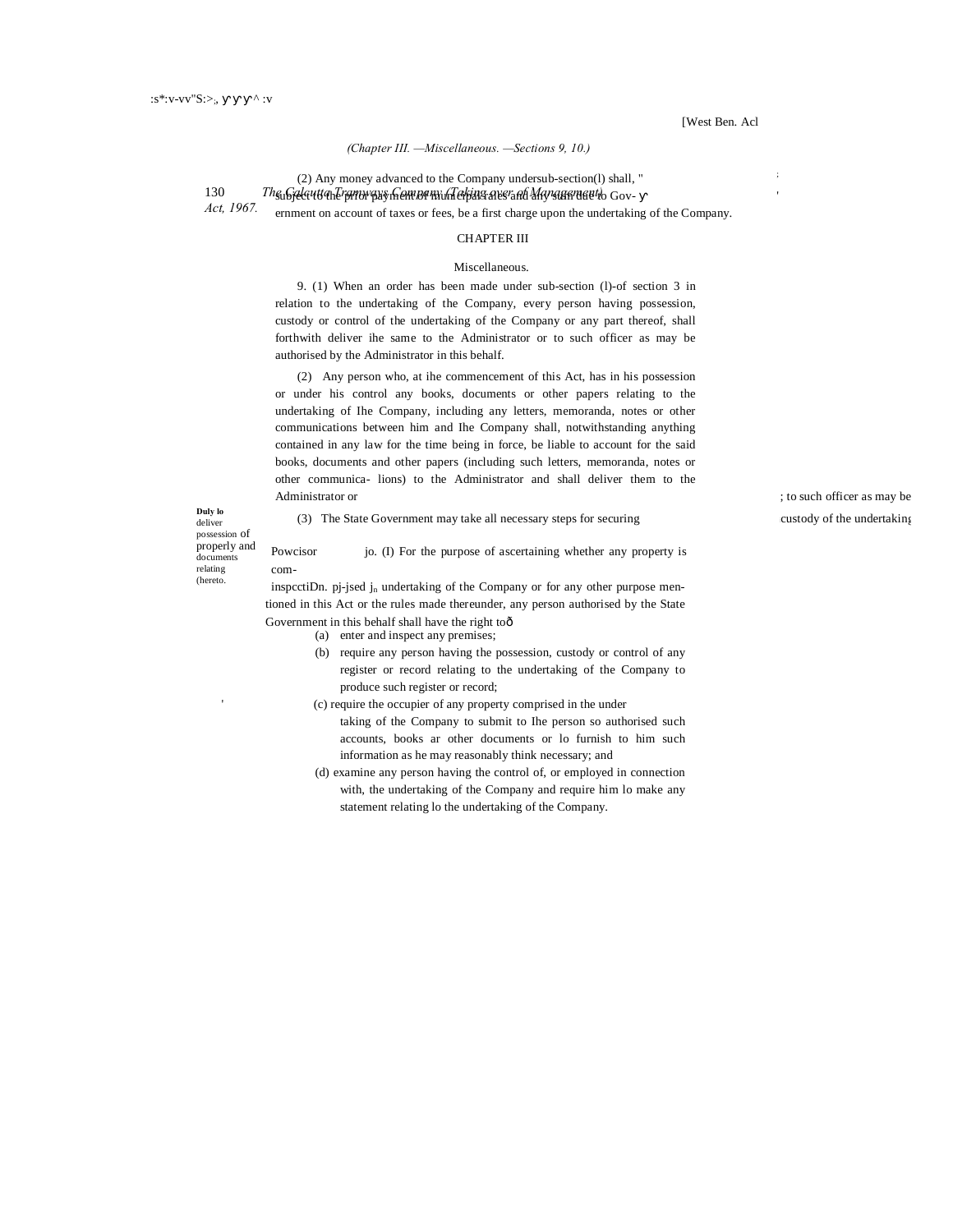### *(Chapter III. —Miscellaneous. —Sections 9, 10.)*

(2) Any money advanced to the Company undersub-section(l) shall, "

130 *The Galcutta Tramwaxs Gompa mud dehina aver at* Mayaan neetto Gov-

*Act, 1967.*

# ernment on account of taxes or fees, be a first charge upon the undertaking of the Company. CHAPTER III

#### Miscellaneous.

9. (1) When an order has been made under sub-section (l)-of section 3 in relation to the undertaking of the Company, every person having possession, custody or control of the undertaking of the Company or any part thereof, shall forthwith deliver ihe same to the Administrator or to such officer as may be authorised by the Administrator in this behalf.

(2) Any person who, at ihe commencement of this Act, has in his possession or under his control any books, documents or other papers relating to the undertaking of Ihe Company, including any letters, memoranda, notes or other communications between him and Ihe Company shall, notwithstanding anything contained in any law for the time being in force, be liable to account for the said books, documents and other papers (including such letters, memoranda, notes or other communica- lions) to the Administrator and shall deliver them to the Administrator or  $\qquad \qquad$  ; to such officer as may be

**Duly lo** deliver possession of properly and documen relating (hereto.

'

com-

(3) The State Government may take all necessary steps for securing **incurrent** custody of the undertaking

Powcisor io. (I) For the purpose of ascertaining whether any property is

inspcctiDn. pj-jsed j<sub>n</sub> undertaking of the Company or for any other purpose mentioned in this Act or the rules made thereunder, any person authorised by the State Government in this behalf shall have the right toô

(a) enter and inspect any premises;

- (b) require any person having the possession, custody or control of any register or record relating to the undertaking of the Company to produce such register or record;
- (c) require the occupier of any property comprised in the under
	- taking of the Company to submit to Ihe person so authorised such accounts, books ar other documents or lo furnish to him such information as he may reasonably think necessary; and
- (d) examine any person having the control of, or employed in connection with, the undertaking of the Company and require him lo make any statement relating lo the undertaking of the Company.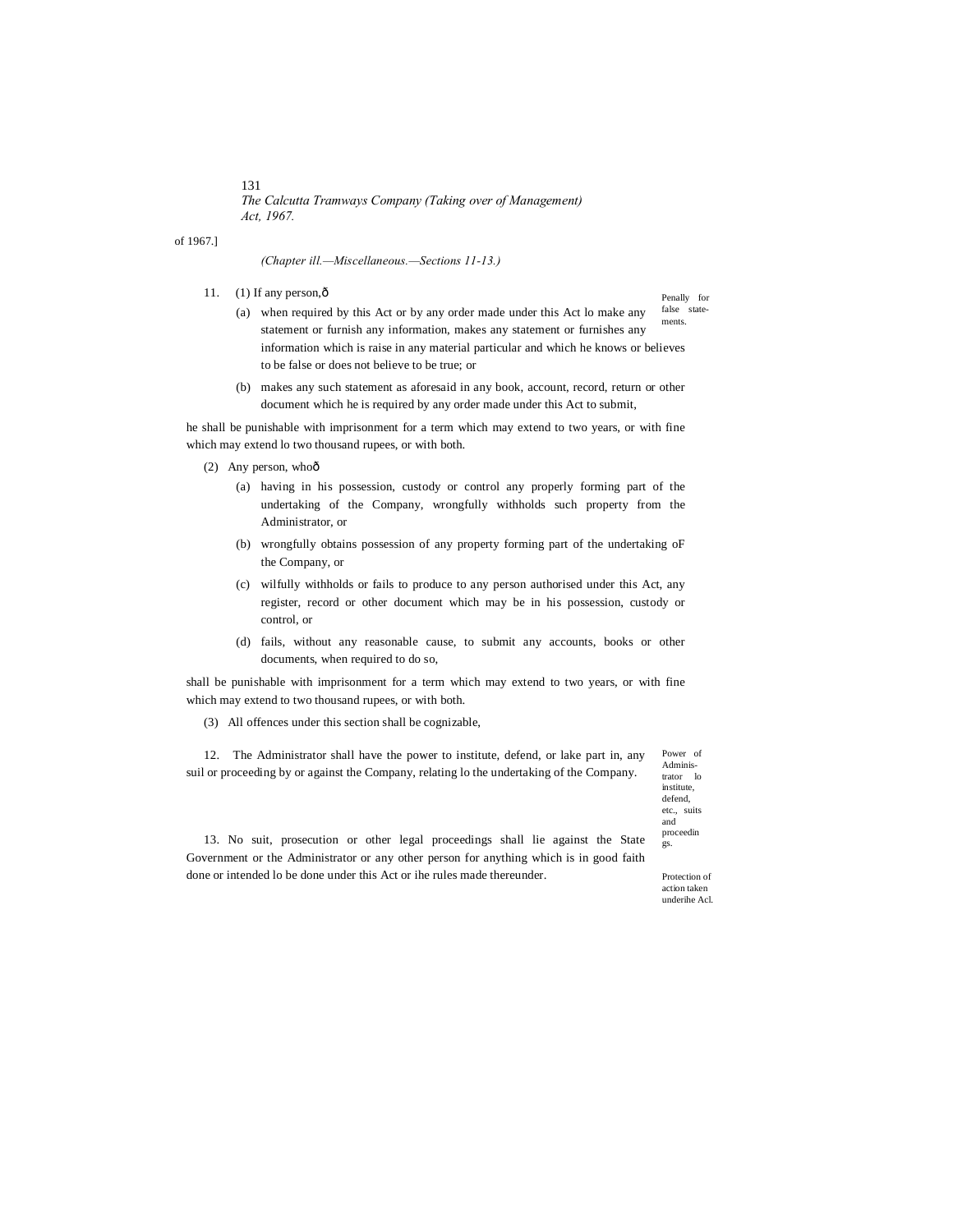of 1967.]

*(Chapter ill.—Miscellaneous.—Sections 11-13.)*

11.  $(1)$  If any person, $\hat{0}$ 

Penally for false state-

- ments. (a) when required by this Act or by any order made under this Act lo make any statement or furnish any information, makes any statement or furnishes any information which is raise in any material particular and which he knows or believes to be false or does not believe to be true; or
- (b) makes any such statement as aforesaid in any book, account, record, return or other document which he is required by any order made under this Act to submit,

he shall be punishable with imprisonment for a term which may extend to two years, or with fine which may extend lo two thousand rupees, or with both.

(2) Any person, whoô

- (a) having in his possession, custody or control any properly forming part of the undertaking of the Company, wrongfully withholds such property from the Administrator, or
- (b) wrongfully obtains possession of any property forming part of the undertaking oF the Company, or
- (c) wilfully withholds or fails to produce to any person authorised under this Act, any register, record or other document which may be in his possession, custody or control, or
- (d) fails, without any reasonable cause, to submit any accounts, books or other documents, when required to do so,

shall be punishable with imprisonment for a term which may extend to two years, or with fine which may extend to two thousand rupees, or with both.

(3) All offences under this section shall be cognizable,

Power of Adminis-12. The Administrator shall have the power to institute, defend, or lake part in, any suil or proceeding by or against the Company, relating lo the undertaking of the Company.

trator lo institute, defend, etc., suits and proceedin gs.

13. No suit, prosecution or other legal proceedings shall lie against the State Government or the Administrator or any other person for anything which is in good faith done or intended lo be done under this Act or ihe rules made thereunder.

Protection of action taken underihe Acl.